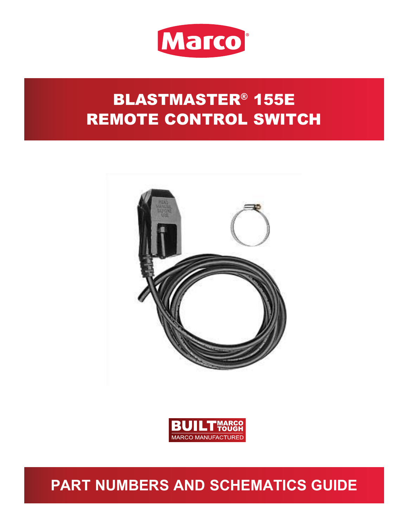

# BLASTMASTER® 155E REMOTE CONTROL SWITCH





## **PART NUMBERS AND SCHEMATICS GUIDE**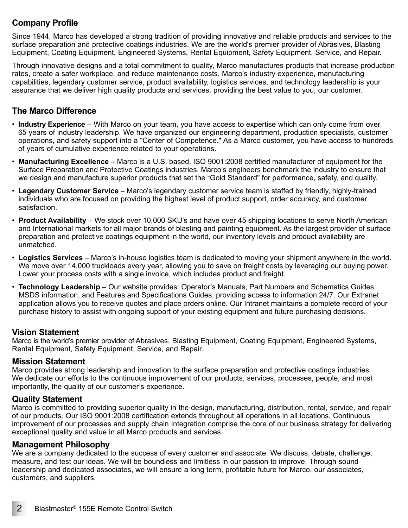### **Company Profile**

Since 1944, Marco has developed a strong tradition of providing innovative and reliable products and services to the surface preparation and protective coatings industries. We are the world's premier provider of Abrasives, Blasting Equipment, Coating Equipment, Engineered Systems, Rental Equipment, Safety Equipment, Service, and Repair.

Through innovative designs and a total commitment to quality, Marco manufactures products that increase production rates, create a safer workplace, and reduce maintenance costs. Marco's industry experience, manufacturing capabilities, legendary customer service, product availability, logistics services, and technology leadership is your assurance that we deliver high quality products and services, providing the best value to you, our customer.

### **The Marco Difference**

- **Industry Experience** With Marco on your team, you have access to expertise which can only come from over 65 years of industry leadership. We have organized our engineering department, production specialists, customer operations, and safety support into a "Center of Competence." As a Marco customer, you have access to hundreds of years of cumulative experience related to your operations.
- **Manufacturing Excellence** Marco is a U.S. based, ISO 9001:2008 certified manufacturer of equipment for the Surface Preparation and Protective Coatings industries. Marco's engineers benchmark the industry to ensure that we design and manufacture superior products that set the "Gold Standard" for performance, safety, and quality.
- **Legendary Customer Service** Marco's legendary customer service team is staffed by friendly, highly-trained individuals who are focused on providing the highest level of product support, order accuracy, and customer satisfaction.
- **Product Availability** We stock over 10,000 SKU's and have over 45 shipping locations to serve North American and International markets for all major brands of blasting and painting equipment. As the largest provider of surface preparation and protective coatings equipment in the world, our inventory levels and product availability are unmatched.
- **Logistics Services** Marco's in-house logistics team is dedicated to moving your shipment anywhere in the world. We move over 14,000 truckloads every year, allowing you to save on freight costs by leveraging our buying power. Lower your process costs with a single invoice, which includes product and freight.
- **Technology Leadership** Our website provides: Operator's Manuals, Part Numbers and Schematics Guides, MSDS information, and Features and Specifications Guides, providing access to information 24/7. Our Extranet application allows you to receive quotes and place orders online. Our Intranet maintains a complete record of your purchase history to assist with ongoing support of your existing equipment and future purchasing decisions.

### **Vision Statement**

Marco is the world's premier provider of Abrasives, Blasting Equipment, Coating Equipment, Engineered Systems, Rental Equipment, Safety Equipment, Service, and Repair.

#### **Mission Statement**

Marco provides strong leadership and innovation to the surface preparation and protective coatings industries. We dedicate our efforts to the continuous improvement of our products, services, processes, people, and most importantly, the quality of our customer's experience.

### **Quality Statement**

Marco is committed to providing superior quality in the design, manufacturing, distribution, rental, service, and repair of our products. Our ISO 9001:2008 certification extends throughout all operations in all locations. Continuous improvement of our processes and supply chain Integration comprise the core of our business strategy for delivering exceptional quality and value in all Marco products and services.

### **Management Philosophy**

We are a company dedicated to the success of every customer and associate. We discuss, debate, challenge, measure, and test our ideas. We will be boundless and limitless in our passion to improve. Through sound leadership and dedicated associates, we will ensure a long term, profitable future for Marco, our associates, customers, and suppliers.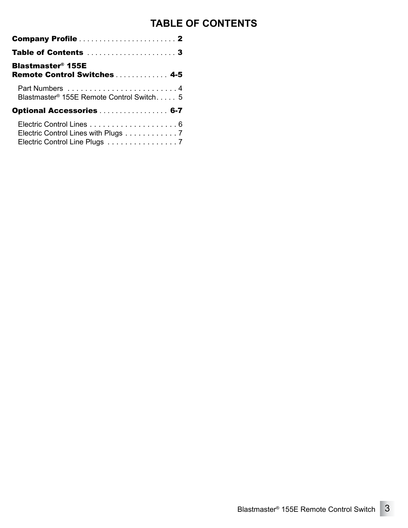### **TABLE OF CONTENTS**

| <b>Blastmaster<sup>®</sup> 155E</b><br>Remote Control Switches  4-5  |
|----------------------------------------------------------------------|
| Blastmaster <sup>®</sup> 155E Remote Control Switch 5                |
| Optional Accessories  6-7                                            |
| Electric Control Lines with Plugs 7<br>Electric Control Line Plugs 7 |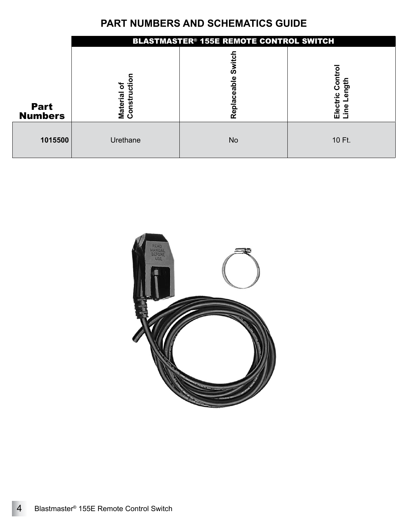### **PART NUMBERS AND SCHEMATICS GUIDE**

<span id="page-3-0"></span>

|                               | <b>BLASTMASTER<sup>®</sup> 155E REMOTE CONTROL SWITCH</b> |                                                |                                |  |
|-------------------------------|-----------------------------------------------------------|------------------------------------------------|--------------------------------|--|
| <b>Part</b><br><b>Numbers</b> | ъ<br>≂<br><b>Materia</b><br>Constr                        | ഗ<br>ω<br>ā<br>$\bar{\mathbf{g}}$<br>epla<br>Ñ | Electric Con<br>ngth<br>e<br>C |  |
| 1015500                       | Urethane                                                  | <b>No</b>                                      | 10 Ft.                         |  |

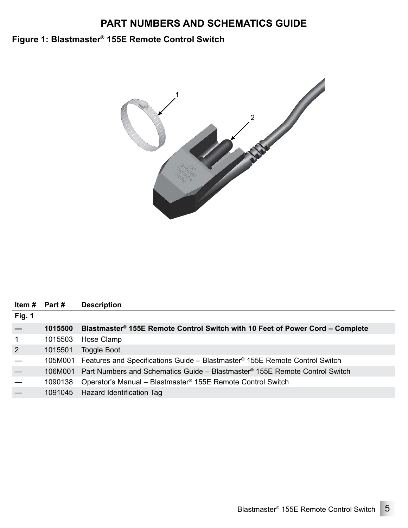### **PART NUMBERS AND SCHEMATICS GUIDE**

### <span id="page-4-0"></span>**Figure 1: Blastmaster® 155E Remote Control Switch**



| Item $#$ Part $#$ |         | <b>Description</b>                                                                              |
|-------------------|---------|-------------------------------------------------------------------------------------------------|
| <b>Fig. 1</b>     |         |                                                                                                 |
|                   | 1015500 | Blastmaster® 155E Remote Control Switch with 10 Feet of Power Cord – Complete                   |
| 1                 | 1015503 | Hose Clamp                                                                                      |
| 2                 | 1015501 | Toggle Boot                                                                                     |
|                   |         | 105M001 Features and Specifications Guide - Blastmaster <sup>®</sup> 155E Remote Control Switch |
|                   |         | 106M001 Part Numbers and Schematics Guide – Blastmaster® 155E Remote Control Switch             |
|                   | 1090138 | Operator's Manual - Blastmaster <sup>®</sup> 155E Remote Control Switch                         |
|                   |         | 1091045 Hazard Identification Tag                                                               |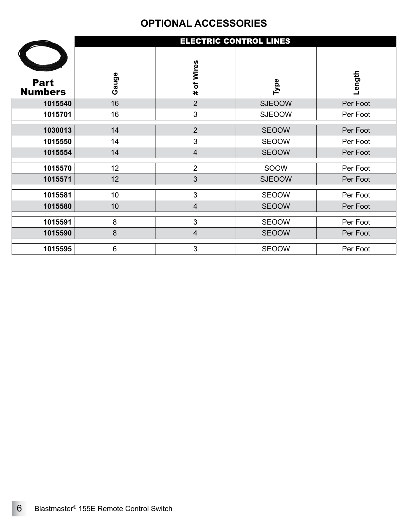### **OPTIONAL ACCESSORIES**

<span id="page-5-0"></span>

|                               | <b>ELECTRIC CONTROL LINES</b> |                         |               |          |
|-------------------------------|-------------------------------|-------------------------|---------------|----------|
| <b>Part</b><br><b>Numbers</b> | Gauge                         | # of Wires              | Type          | Length   |
| 1015540                       | 16                            | $\overline{2}$          | <b>SJEOOW</b> | Per Foot |
| 1015701                       | 16                            | $\mathfrak{S}$          | <b>SJEOOW</b> | Per Foot |
|                               |                               |                         |               |          |
| 1030013                       | 14                            | $\overline{2}$          | <b>SEOOW</b>  | Per Foot |
| 1015550                       | 14                            | $\mathfrak{S}$          | SEOOW         | Per Foot |
| 1015554                       | 14                            | $\overline{4}$          | <b>SEOOW</b>  | Per Foot |
| 1015570                       | 12                            | $\overline{2}$          | SOOW          | Per Foot |
| 1015571                       | 12                            | 3                       | <b>SJEOOW</b> | Per Foot |
| 1015581                       | 10                            | $\mathfrak{S}$          | <b>SEOOW</b>  | Per Foot |
| 1015580                       | 10                            | $\overline{4}$          | <b>SEOOW</b>  | Per Foot |
| 1015591                       | 8                             | $\mathbf{3}$            | SEOOW         | Per Foot |
| 1015590                       | $\boldsymbol{8}$              | $\overline{\mathbf{4}}$ | <b>SEOOW</b>  | Per Foot |
| 1015595                       | 6                             | 3                       | <b>SEOOW</b>  | Per Foot |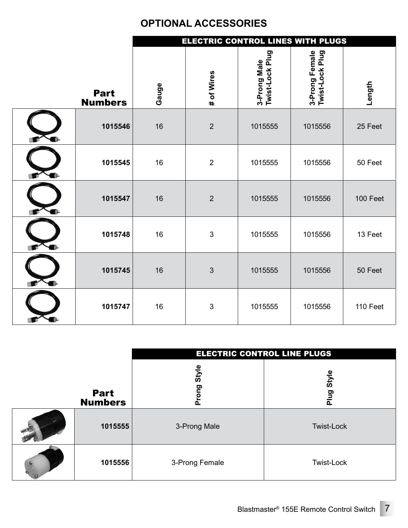### **OPTIONAL ACCESSORIES**

<span id="page-6-0"></span>

|                               | ELECTRIC CONTROL LINES WITH PLUGS |                |                                 |                                   |          |
|-------------------------------|-----------------------------------|----------------|---------------------------------|-----------------------------------|----------|
| <b>Part</b><br><b>Numbers</b> | Gauge                             | # of Wires     | 3-Prong Male<br>Twist-Lock Plug | 3-Prong Female<br>Twist-Lock Plug | Length   |
| 1015546                       | 16                                | $\overline{2}$ | 1015555                         | 1015556                           | 25 Feet  |
| 1015545                       | 16                                | $\overline{2}$ | 1015555                         | 1015556                           | 50 Feet  |
| 1015547                       | 16                                | $\overline{2}$ | 1015555                         | 1015556                           | 100 Feet |
| 1015748                       | 16                                | $\mathbf{3}$   | 1015555                         | 1015556                           | 13 Feet  |
| 1015745                       | 16                                | $\mathfrak{S}$ | 1015555                         | 1015556                           | 50 Feet  |
| 1015747                       | 16                                | 3              | 1015555                         | 1015556                           | 110 Feet |

|                               | ELECTRIC CONTROL LINE PLUGS |                   |  |  |
|-------------------------------|-----------------------------|-------------------|--|--|
| <b>Part</b><br><b>Numbers</b> | <b>Style</b><br>Prong       | style<br>Plug     |  |  |
| 1015555                       | 3-Prong Male                | <b>Twist-Lock</b> |  |  |
| 1015556                       | 3-Prong Female              | Twist-Lock        |  |  |